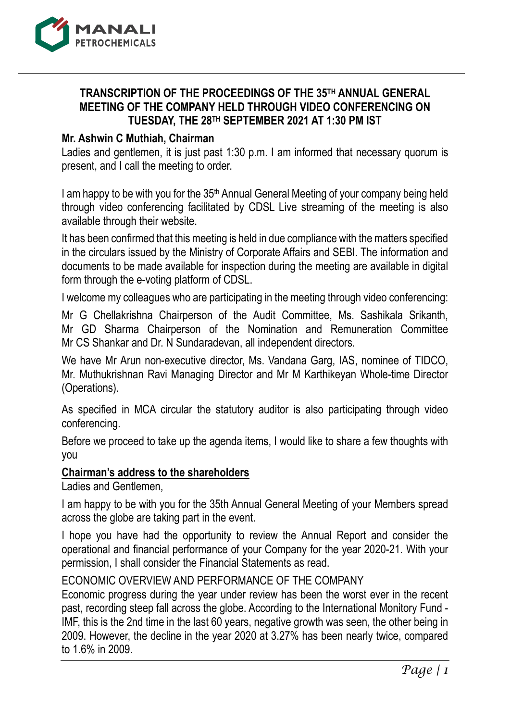

# **TRANSCRIPTION OF THE PROCEEDINGS OF THE 35TH ANNUAL GENERAL MEETING OF THE COMPANY HELD THROUGH VIDEO CONFERENCING ON TUESDAY, THE 28TH SEPTEMBER 2021 AT 1:30 PM IST**

## **Mr. Ashwin C Muthiah, Chairman**

Ladies and gentlemen, it is just past 1:30 p.m. I am informed that necessary quorum is present, and I call the meeting to order.

I am happy to be with you for the 35<sup>th</sup> Annual General Meeting of your company being held through video conferencing facilitated by CDSL Live streaming of the meeting is also available through their website.

It has been confirmed that this meeting is held in due compliance with the matters specified in the circulars issued by the Ministry of Corporate Affairs and SEBI. The information and documents to be made available for inspection during the meeting are available in digital form through the e-voting platform of CDSL.

I welcome my colleagues who are participating in the meeting through video conferencing:

Mr G Chellakrishna Chairperson of the Audit Committee, Ms. Sashikala Srikanth, Mr GD Sharma Chairperson of the Nomination and Remuneration Committee Mr CS Shankar and Dr. N Sundaradevan, all independent directors.

We have Mr Arun non-executive director, Ms. Vandana Garg, IAS, nominee of TIDCO, Mr. Muthukrishnan Ravi Managing Director and Mr M Karthikeyan Whole-time Director (Operations).

As specified in MCA circular the statutory auditor is also participating through video conferencing.

Before we proceed to take up the agenda items, I would like to share a few thoughts with you

## **Chairman's address to the shareholders**

Ladies and Gentlemen,

I am happy to be with you for the 35th Annual General Meeting of your Members spread across the globe are taking part in the event.

I hope you have had the opportunity to review the Annual Report and consider the operational and financial performance of your Company for the year 2020-21. With your permission, I shall consider the Financial Statements as read.

## ECONOMIC OVERVIEW AND PERFORMANCE OF THE COMPANY

Economic progress during the year under review has been the worst ever in the recent past, recording steep fall across the globe. According to the International Monitory Fund - IMF, this is the 2nd time in the last 60 years, negative growth was seen, the other being in 2009. However, the decline in the year 2020 at 3.27% has been nearly twice, compared to 1.6% in 2009.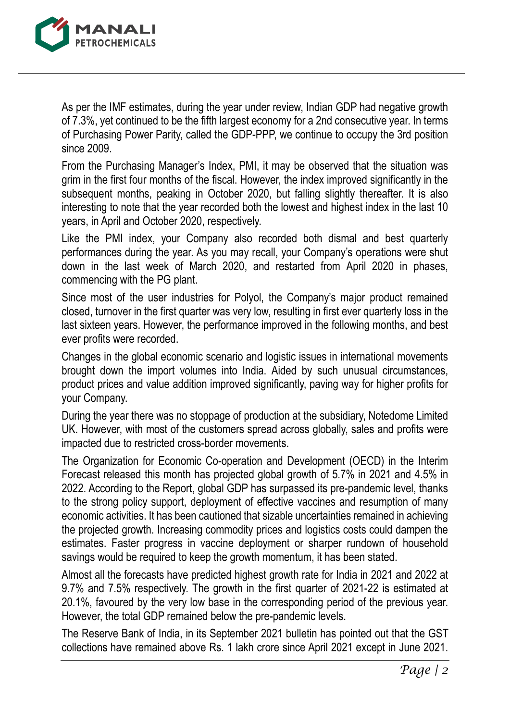

As per the IMF estimates, during the year under review, Indian GDP had negative growth of 7.3%, yet continued to be the fifth largest economy for a 2nd consecutive year. In terms of Purchasing Power Parity, called the GDP-PPP, we continue to occupy the 3rd position since 2009.

From the Purchasing Manager's Index, PMI, it may be observed that the situation was grim in the first four months of the fiscal. However, the index improved significantly in the subsequent months, peaking in October 2020, but falling slightly thereafter. It is also interesting to note that the year recorded both the lowest and highest index in the last 10 years, in April and October 2020, respectively.

Like the PMI index, your Company also recorded both dismal and best quarterly performances during the year. As you may recall, your Company's operations were shut down in the last week of March 2020, and restarted from April 2020 in phases, commencing with the PG plant.

Since most of the user industries for Polyol, the Company's major product remained closed, turnover in the first quarter was very low, resulting in first ever quarterly loss in the last sixteen years. However, the performance improved in the following months, and best ever profits were recorded.

Changes in the global economic scenario and logistic issues in international movements brought down the import volumes into India. Aided by such unusual circumstances, product prices and value addition improved significantly, paving way for higher profits for your Company.

During the year there was no stoppage of production at the subsidiary, Notedome Limited UK. However, with most of the customers spread across globally, sales and profits were impacted due to restricted cross-border movements.

The Organization for Economic Co-operation and Development (OECD) in the Interim Forecast released this month has projected global growth of 5.7% in 2021 and 4.5% in 2022. According to the Report, global GDP has surpassed its pre-pandemic level, thanks to the strong policy support, deployment of effective vaccines and resumption of many economic activities. It has been cautioned that sizable uncertainties remained in achieving the projected growth. Increasing commodity prices and logistics costs could dampen the estimates. Faster progress in vaccine deployment or sharper rundown of household savings would be required to keep the growth momentum, it has been stated.

Almost all the forecasts have predicted highest growth rate for India in 2021 and 2022 at 9.7% and 7.5% respectively. The growth in the first quarter of 2021-22 is estimated at 20.1%, favoured by the very low base in the corresponding period of the previous year. However, the total GDP remained below the pre-pandemic levels.

The Reserve Bank of India, in its September 2021 bulletin has pointed out that the GST collections have remained above Rs. 1 lakh crore since April 2021 except in June 2021.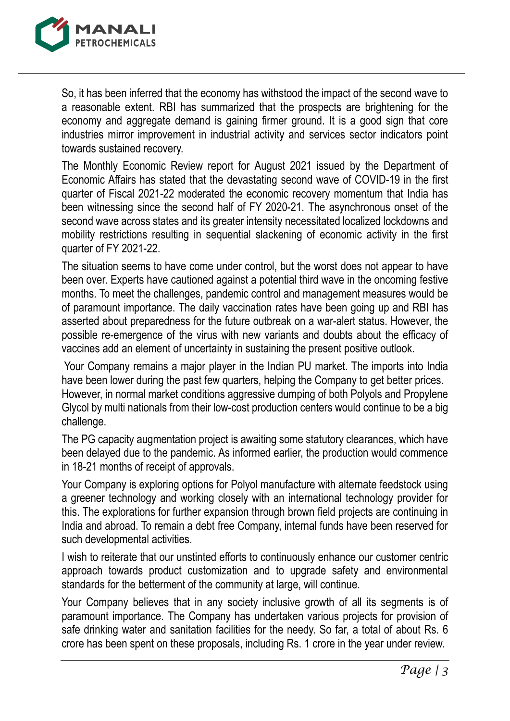

So, it has been inferred that the economy has withstood the impact of the second wave to a reasonable extent. RBI has summarized that the prospects are brightening for the economy and aggregate demand is gaining firmer ground. It is a good sign that core industries mirror improvement in industrial activity and services sector indicators point towards sustained recovery.

The Monthly Economic Review report for August 2021 issued by the Department of Economic Affairs has stated that the devastating second wave of COVID-19 in the first quarter of Fiscal 2021-22 moderated the economic recovery momentum that India has been witnessing since the second half of FY 2020-21. The asynchronous onset of the second wave across states and its greater intensity necessitated localized lockdowns and mobility restrictions resulting in sequential slackening of economic activity in the first quarter of FY 2021-22.

The situation seems to have come under control, but the worst does not appear to have been over. Experts have cautioned against a potential third wave in the oncoming festive months. To meet the challenges, pandemic control and management measures would be of paramount importance. The daily vaccination rates have been going up and RBI has asserted about preparedness for the future outbreak on a war-alert status. However, the possible re-emergence of the virus with new variants and doubts about the efficacy of vaccines add an element of uncertainty in sustaining the present positive outlook.

Your Company remains a major player in the Indian PU market. The imports into India have been lower during the past few quarters, helping the Company to get better prices. However, in normal market conditions aggressive dumping of both Polyols and Propylene Glycol by multi nationals from their low-cost production centers would continue to be a big challenge.

The PG capacity augmentation project is awaiting some statutory clearances, which have been delayed due to the pandemic. As informed earlier, the production would commence in 18-21 months of receipt of approvals.

Your Company is exploring options for Polyol manufacture with alternate feedstock using a greener technology and working closely with an international technology provider for this. The explorations for further expansion through brown field projects are continuing in India and abroad. To remain a debt free Company, internal funds have been reserved for such developmental activities.

I wish to reiterate that our unstinted efforts to continuously enhance our customer centric approach towards product customization and to upgrade safety and environmental standards for the betterment of the community at large, will continue.

Your Company believes that in any society inclusive growth of all its segments is of paramount importance. The Company has undertaken various projects for provision of safe drinking water and sanitation facilities for the needy. So far, a total of about Rs. 6 crore has been spent on these proposals, including Rs. 1 crore in the year under review.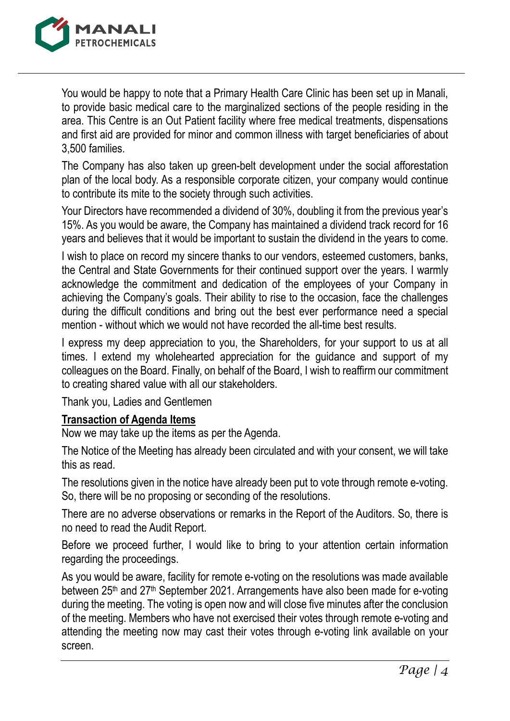

You would be happy to note that a Primary Health Care Clinic has been set up in Manali, to provide basic medical care to the marginalized sections of the people residing in the area. This Centre is an Out Patient facility where free medical treatments, dispensations and first aid are provided for minor and common illness with target beneficiaries of about 3,500 families.

The Company has also taken up green-belt development under the social afforestation plan of the local body. As a responsible corporate citizen, your company would continue to contribute its mite to the society through such activities.

Your Directors have recommended a dividend of 30%, doubling it from the previous year's 15%. As you would be aware, the Company has maintained a dividend track record for 16 years and believes that it would be important to sustain the dividend in the years to come.

I wish to place on record my sincere thanks to our vendors, esteemed customers, banks, the Central and State Governments for their continued support over the years. I warmly acknowledge the commitment and dedication of the employees of your Company in achieving the Company's goals. Their ability to rise to the occasion, face the challenges during the difficult conditions and bring out the best ever performance need a special mention - without which we would not have recorded the all-time best results.

I express my deep appreciation to you, the Shareholders, for your support to us at all times. I extend my wholehearted appreciation for the guidance and support of my colleagues on the Board. Finally, on behalf of the Board, I wish to reaffirm our commitment to creating shared value with all our stakeholders.

Thank you, Ladies and Gentlemen

## **Transaction of Agenda Items**

Now we may take up the items as per the Agenda.

The Notice of the Meeting has already been circulated and with your consent, we will take this as read.

The resolutions given in the notice have already been put to vote through remote e-voting. So, there will be no proposing or seconding of the resolutions.

There are no adverse observations or remarks in the Report of the Auditors. So, there is no need to read the Audit Report.

Before we proceed further, I would like to bring to your attention certain information regarding the proceedings.

As you would be aware, facility for remote e-voting on the resolutions was made available between 25th and 27th September 2021. Arrangements have also been made for e-voting during the meeting. The voting is open now and will close five minutes after the conclusion of the meeting. Members who have not exercised their votes through remote e-voting and attending the meeting now may cast their votes through e-voting link available on your screen.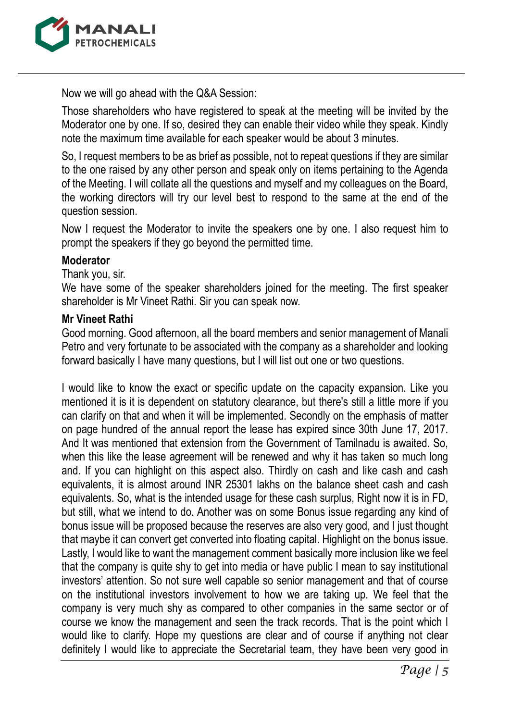

Now we will go ahead with the Q&A Session:

Those shareholders who have registered to speak at the meeting will be invited by the Moderator one by one. If so, desired they can enable their video while they speak. Kindly note the maximum time available for each speaker would be about 3 minutes.

So, I request members to be as brief as possible, not to repeat questions if they are similar to the one raised by any other person and speak only on items pertaining to the Agenda of the Meeting. I will collate all the questions and myself and my colleagues on the Board, the working directors will try our level best to respond to the same at the end of the question session.

Now I request the Moderator to invite the speakers one by one. I also request him to prompt the speakers if they go beyond the permitted time.

#### **Moderator**

Thank you, sir.

We have some of the speaker shareholders joined for the meeting. The first speaker shareholder is Mr Vineet Rathi. Sir you can speak now.

#### **Mr Vineet Rathi**

Good morning. Good afternoon, all the board members and senior management of Manali Petro and very fortunate to be associated with the company as a shareholder and looking forward basically I have many questions, but I will list out one or two questions.

I would like to know the exact or specific update on the capacity expansion. Like you mentioned it is it is dependent on statutory clearance, but there's still a little more if you can clarify on that and when it will be implemented. Secondly on the emphasis of matter on page hundred of the annual report the lease has expired since 30th June 17, 2017. And It was mentioned that extension from the Government of Tamilnadu is awaited. So, when this like the lease agreement will be renewed and why it has taken so much long and. If you can highlight on this aspect also. Thirdly on cash and like cash and cash equivalents, it is almost around INR 25301 lakhs on the balance sheet cash and cash equivalents. So, what is the intended usage for these cash surplus, Right now it is in FD, but still, what we intend to do. Another was on some Bonus issue regarding any kind of bonus issue will be proposed because the reserves are also very good, and I just thought that maybe it can convert get converted into floating capital. Highlight on the bonus issue. Lastly, I would like to want the management comment basically more inclusion like we feel that the company is quite shy to get into media or have public I mean to say institutional investors' attention. So not sure well capable so senior management and that of course on the institutional investors involvement to how we are taking up. We feel that the company is very much shy as compared to other companies in the same sector or of course we know the management and seen the track records. That is the point which I would like to clarify. Hope my questions are clear and of course if anything not clear definitely I would like to appreciate the Secretarial team, they have been very good in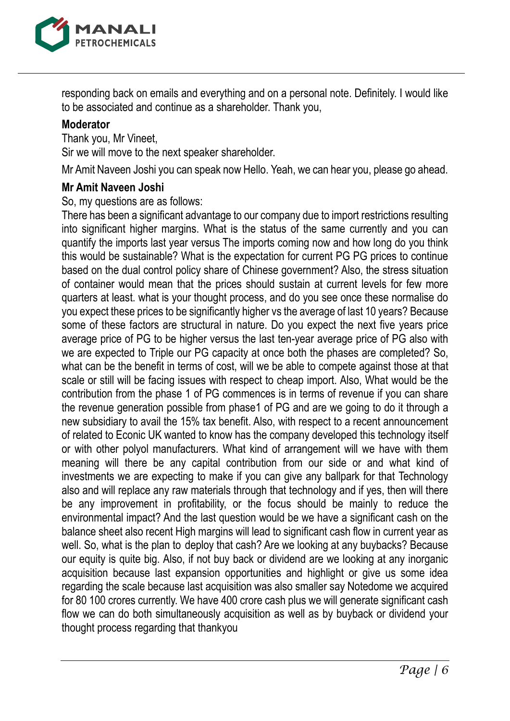

responding back on emails and everything and on a personal note. Definitely. I would like to be associated and continue as a shareholder. Thank you,

#### **Moderator**

Thank you, Mr Vineet, Sir we will move to the next speaker shareholder.

Mr Amit Naveen Joshi you can speak now Hello. Yeah, we can hear you, please go ahead.

#### **Mr Amit Naveen Joshi**

So, my questions are as follows:

There has been a significant advantage to our company due to import restrictions resulting into significant higher margins. What is the status of the same currently and you can quantify the imports last year versus The imports coming now and how long do you think this would be sustainable? What is the expectation for current PG PG prices to continue based on the dual control policy share of Chinese government? Also, the stress situation of container would mean that the prices should sustain at current levels for few more quarters at least. what is your thought process, and do you see once these normalise do you expect these prices to be significantly higher vs the average of last 10 years? Because some of these factors are structural in nature. Do you expect the next five years price average price of PG to be higher versus the last ten-year average price of PG also with we are expected to Triple our PG capacity at once both the phases are completed? So, what can be the benefit in terms of cost, will we be able to compete against those at that scale or still will be facing issues with respect to cheap import. Also, What would be the contribution from the phase 1 of PG commences is in terms of revenue if you can share the revenue generation possible from phase1 of PG and are we going to do it through a new subsidiary to avail the 15% tax benefit. Also, with respect to a recent announcement of related to Econic UK wanted to know has the company developed this technology itself or with other polyol manufacturers. What kind of arrangement will we have with them meaning will there be any capital contribution from our side or and what kind of investments we are expecting to make if you can give any ballpark for that Technology also and will replace any raw materials through that technology and if yes, then will there be any improvement in profitability, or the focus should be mainly to reduce the environmental impact? And the last question would be we have a significant cash on the balance sheet also recent High margins will lead to significant cash flow in current year as well. So, what is the plan to deploy that cash? Are we looking at any buybacks? Because our equity is quite big. Also, if not buy back or dividend are we looking at any inorganic acquisition because last expansion opportunities and highlight or give us some idea regarding the scale because last acquisition was also smaller say Notedome we acquired for 80 100 crores currently. We have 400 crore cash plus we will generate significant cash flow we can do both simultaneously acquisition as well as by buyback or dividend your thought process regarding that thankyou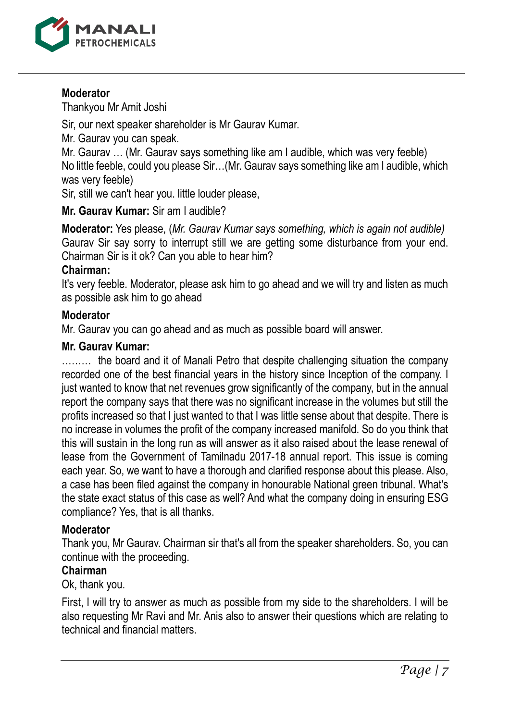

## **Moderator**

Thankyou Mr Amit Joshi

Sir, our next speaker shareholder is Mr Gaurav Kumar.

Mr. Gaurav you can speak.

Mr. Gaurav … (Mr. Gaurav says something like am I audible, which was very feeble) No little feeble, could you please Sir…(Mr. Gaurav says something like am I audible, which was very feeble)

Sir, still we can't hear you. little louder please,

**Mr. Gaurav Kumar:** Sir am I audible?

**Moderator:** Yes please, (*Mr. Gaurav Kumar says something, which is again not audible)* Gaurav Sir say sorry to interrupt still we are getting some disturbance from your end. Chairman Sir is it ok? Can you able to hear him?

## **Chairman:**

It's very feeble. Moderator, please ask him to go ahead and we will try and listen as much as possible ask him to go ahead

## **Moderator**

Mr. Gaurav you can go ahead and as much as possible board will answer.

## **Mr. Gaurav Kumar:**

……… the board and it of Manali Petro that despite challenging situation the company recorded one of the best financial years in the history since Inception of the company. I just wanted to know that net revenues grow significantly of the company, but in the annual report the company says that there was no significant increase in the volumes but still the profits increased so that I just wanted to that I was little sense about that despite. There is no increase in volumes the profit of the company increased manifold. So do you think that this will sustain in the long run as will answer as it also raised about the lease renewal of lease from the Government of Tamilnadu 2017-18 annual report. This issue is coming each year. So, we want to have a thorough and clarified response about this please. Also, a case has been filed against the company in honourable National green tribunal. What's the state exact status of this case as well? And what the company doing in ensuring ESG compliance? Yes, that is all thanks.

# **Moderator**

Thank you, Mr Gaurav. Chairman sir that's all from the speaker shareholders. So, you can continue with the proceeding.

# **Chairman**

Ok, thank you.

First, I will try to answer as much as possible from my side to the shareholders. I will be also requesting Mr Ravi and Mr. Anis also to answer their questions which are relating to technical and financial matters.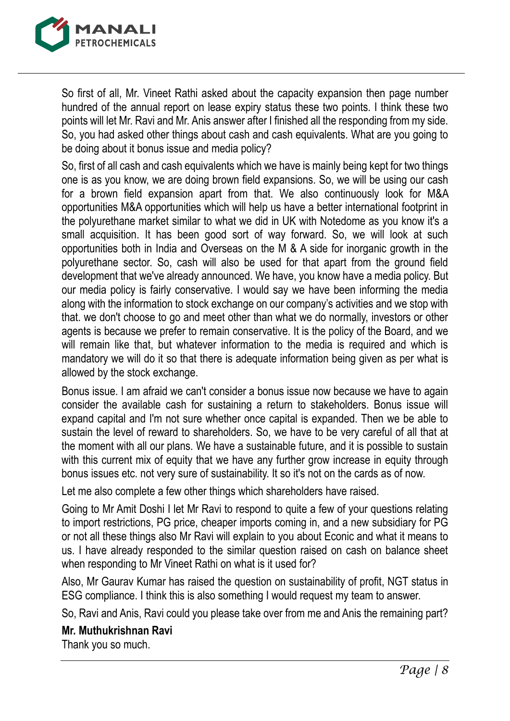

So first of all, Mr. Vineet Rathi asked about the capacity expansion then page number hundred of the annual report on lease expiry status these two points. I think these two points will let Mr. Ravi and Mr. Anis answer after I finished all the responding from my side. So, you had asked other things about cash and cash equivalents. What are you going to be doing about it bonus issue and media policy?

So, first of all cash and cash equivalents which we have is mainly being kept for two things one is as you know, we are doing brown field expansions. So, we will be using our cash for a brown field expansion apart from that. We also continuously look for M&A opportunities M&A opportunities which will help us have a better international footprint in the polyurethane market similar to what we did in UK with Notedome as you know it's a small acquisition. It has been good sort of way forward. So, we will look at such opportunities both in India and Overseas on the M & A side for inorganic growth in the polyurethane sector. So, cash will also be used for that apart from the ground field development that we've already announced. We have, you know have a media policy. But our media policy is fairly conservative. I would say we have been informing the media along with the information to stock exchange on our company's activities and we stop with that. we don't choose to go and meet other than what we do normally, investors or other agents is because we prefer to remain conservative. It is the policy of the Board, and we will remain like that, but whatever information to the media is required and which is mandatory we will do it so that there is adequate information being given as per what is allowed by the stock exchange.

Bonus issue. I am afraid we can't consider a bonus issue now because we have to again consider the available cash for sustaining a return to stakeholders. Bonus issue will expand capital and I'm not sure whether once capital is expanded. Then we be able to sustain the level of reward to shareholders. So, we have to be very careful of all that at the moment with all our plans. We have a sustainable future, and it is possible to sustain with this current mix of equity that we have any further grow increase in equity through bonus issues etc. not very sure of sustainability. It so it's not on the cards as of now.

Let me also complete a few other things which shareholders have raised.

Going to Mr Amit Doshi I let Mr Ravi to respond to quite a few of your questions relating to import restrictions, PG price, cheaper imports coming in, and a new subsidiary for PG or not all these things also Mr Ravi will explain to you about Econic and what it means to us. I have already responded to the similar question raised on cash on balance sheet when responding to Mr Vineet Rathi on what is it used for?

Also, Mr Gaurav Kumar has raised the question on sustainability of profit, NGT status in ESG compliance. I think this is also something I would request my team to answer.

So, Ravi and Anis, Ravi could you please take over from me and Anis the remaining part?

# **Mr. Muthukrishnan Ravi**

Thank you so much.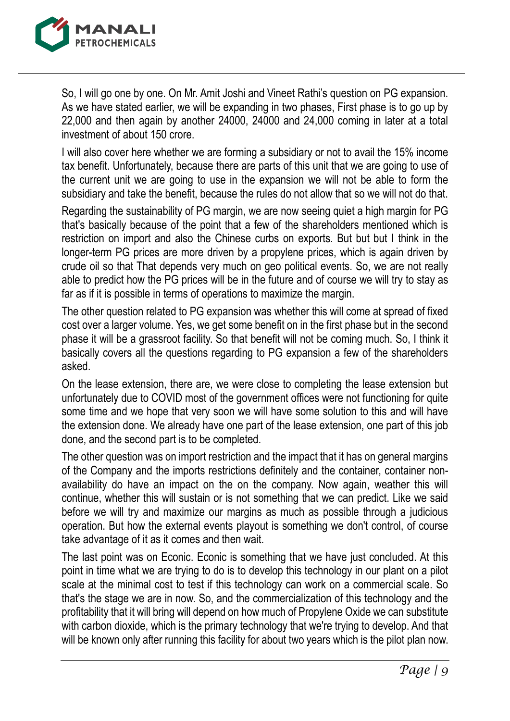

So, I will go one by one. On Mr. Amit Joshi and Vineet Rathi's question on PG expansion. As we have stated earlier, we will be expanding in two phases, First phase is to go up by 22,000 and then again by another 24000, 24000 and 24,000 coming in later at a total investment of about 150 crore.

I will also cover here whether we are forming a subsidiary or not to avail the 15% income tax benefit. Unfortunately, because there are parts of this unit that we are going to use of the current unit we are going to use in the expansion we will not be able to form the subsidiary and take the benefit, because the rules do not allow that so we will not do that.

Regarding the sustainability of PG margin, we are now seeing quiet a high margin for PG that's basically because of the point that a few of the shareholders mentioned which is restriction on import and also the Chinese curbs on exports. But but but I think in the longer-term PG prices are more driven by a propylene prices, which is again driven by crude oil so that That depends very much on geo political events. So, we are not really able to predict how the PG prices will be in the future and of course we will try to stay as far as if it is possible in terms of operations to maximize the margin.

The other question related to PG expansion was whether this will come at spread of fixed cost over a larger volume. Yes, we get some benefit on in the first phase but in the second phase it will be a grassroot facility. So that benefit will not be coming much. So, I think it basically covers all the questions regarding to PG expansion a few of the shareholders asked.

On the lease extension, there are, we were close to completing the lease extension but unfortunately due to COVID most of the government offices were not functioning for quite some time and we hope that very soon we will have some solution to this and will have the extension done. We already have one part of the lease extension, one part of this job done, and the second part is to be completed.

The other question was on import restriction and the impact that it has on general margins of the Company and the imports restrictions definitely and the container, container nonavailability do have an impact on the on the company. Now again, weather this will continue, whether this will sustain or is not something that we can predict. Like we said before we will try and maximize our margins as much as possible through a judicious operation. But how the external events playout is something we don't control, of course take advantage of it as it comes and then wait.

The last point was on Econic. Econic is something that we have just concluded. At this point in time what we are trying to do is to develop this technology in our plant on a pilot scale at the minimal cost to test if this technology can work on a commercial scale. So that's the stage we are in now. So, and the commercialization of this technology and the profitability that it will bring will depend on how much of Propylene Oxide we can substitute with carbon dioxide, which is the primary technology that we're trying to develop. And that will be known only after running this facility for about two years which is the pilot plan now.